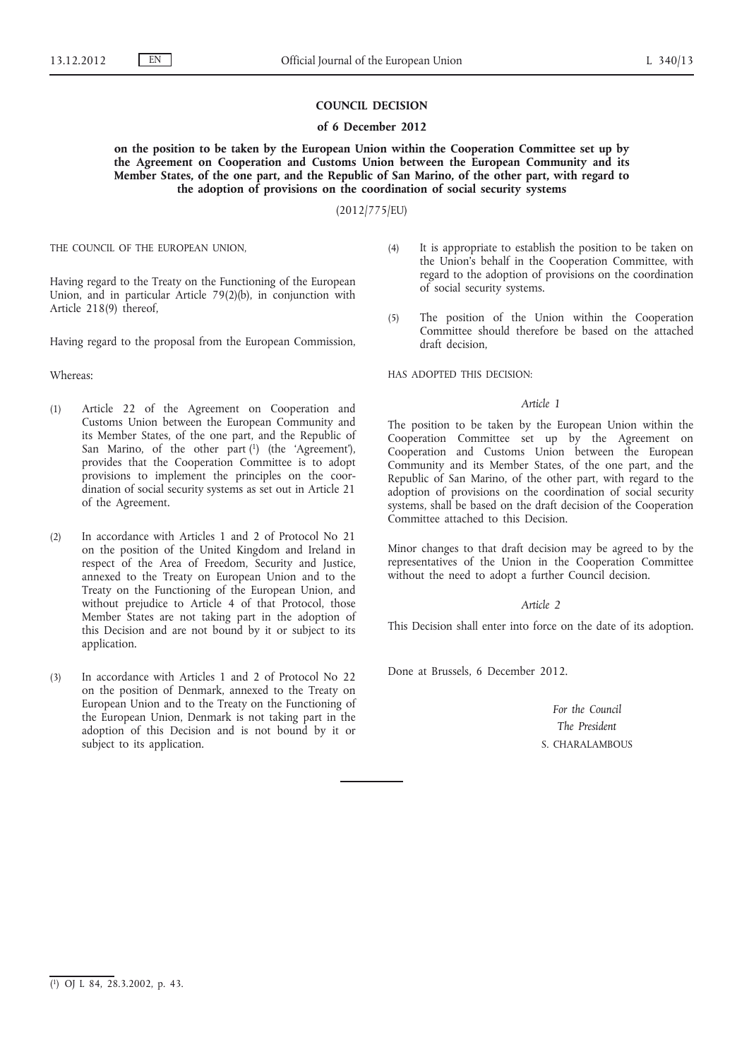## **COUNCIL DECISION**

#### **of 6 December 2012**

**on the position to be taken by the European Union within the Cooperation Committee set up by the Agreement on Cooperation and Customs Union between the European Community and its Member States, of the one part, and the Republic of San Marino, of the other part, with regard to the adoption of provisions on the coordination of social security systems**

(2012/775/EU)

THE COUNCIL OF THE EUROPEAN UNION,

Having regard to the Treaty on the Functioning of the European Union, and in particular Article 79(2)(b), in conjunction with Article 218(9) thereof,

Having regard to the proposal from the European Commission,

#### Whereas:

- (1) Article 22 of the Agreement on Cooperation and Customs Union between the European Community and its Member States, of the one part, and the Republic of San Marino, of the other part  $(1)$  (the 'Agreement'), provides that the Cooperation Committee is to adopt provisions to implement the principles on the coordination of social security systems as set out in Article 21 of the Agreement.
- (2) In accordance with Articles 1 and 2 of Protocol No 21 on the position of the United Kingdom and Ireland in respect of the Area of Freedom, Security and Justice, annexed to the Treaty on European Union and to the Treaty on the Functioning of the European Union, and without prejudice to Article 4 of that Protocol, those Member States are not taking part in the adoption of this Decision and are not bound by it or subject to its application.
- (3) In accordance with Articles 1 and 2 of Protocol No 22 on the position of Denmark, annexed to the Treaty on European Union and to the Treaty on the Functioning of the European Union, Denmark is not taking part in the adoption of this Decision and is not bound by it or subject to its application.
- (4) It is appropriate to establish the position to be taken on the Union's behalf in the Cooperation Committee, with regard to the adoption of provisions on the coordination of social security systems.
- (5) The position of the Union within the Cooperation Committee should therefore be based on the attached draft decision,

HAS ADOPTED THIS DECISION:

## *Article 1*

The position to be taken by the European Union within the Cooperation Committee set up by the Agreement on Cooperation and Customs Union between the European Community and its Member States, of the one part, and the Republic of San Marino, of the other part, with regard to the adoption of provisions on the coordination of social security systems, shall be based on the draft decision of the Cooperation Committee attached to this Decision.

Minor changes to that draft decision may be agreed to by the representatives of the Union in the Cooperation Committee without the need to adopt a further Council decision.

#### *Article 2*

This Decision shall enter into force on the date of its adoption.

Done at Brussels, 6 December 2012.

*For the Council The President* S. CHARALAMBOUS

<sup>(</sup> 1) OJ L 84, 28.3.2002, p. 43.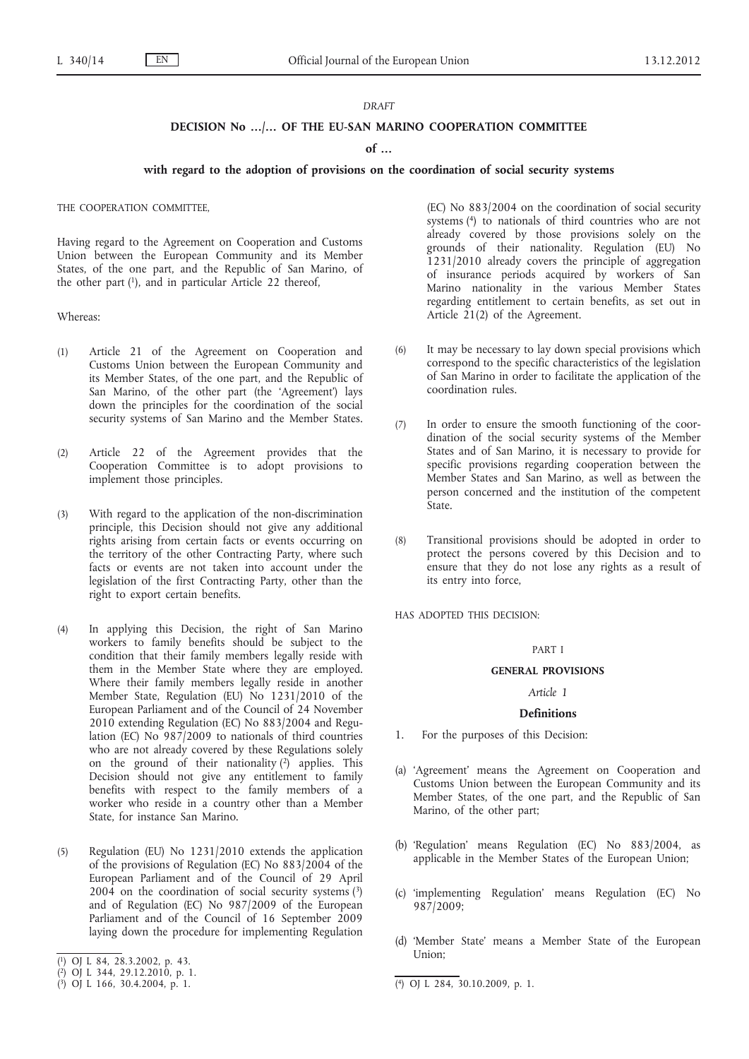#### *DRAFT*

# **DECISION No …/… OF THE EU-SAN MARINO COOPERATION COMMITTEE**

#### **of …**

#### **with regard to the adoption of provisions on the coordination of social security systems**

#### THE COOPERATION COMMITTEE,

Having regard to the Agreement on Cooperation and Customs Union between the European Community and its Member States, of the one part, and the Republic of San Marino, of the other part (1), and in particular Article 22 thereof,

Whereas:

- (1) Article 21 of the Agreement on Cooperation and Customs Union between the European Community and its Member States, of the one part, and the Republic of San Marino, of the other part (the 'Agreement') lays down the principles for the coordination of the social security systems of San Marino and the Member States.
- (2) Article 22 of the Agreement provides that the Cooperation Committee is to adopt provisions to implement those principles.
- (3) With regard to the application of the non-discrimination principle, this Decision should not give any additional rights arising from certain facts or events occurring on the territory of the other Contracting Party, where such facts or events are not taken into account under the legislation of the first Contracting Party, other than the right to export certain benefits.
- (4) In applying this Decision, the right of San Marino workers to family benefits should be subject to the condition that their family members legally reside with them in the Member State where they are employed. Where their family members legally reside in another Member State, Regulation (EU) No 1231/2010 of the European Parliament and of the Council of 24 November 2010 extending Regulation (EC) No 883/2004 and Regulation (EC) No 987/2009 to nationals of third countries who are not already covered by these Regulations solely on the ground of their nationality  $(2)$  applies. This Decision should not give any entitlement to family benefits with respect to the family members of a worker who reside in a country other than a Member State, for instance San Marino.
- (5) Regulation (EU) No 1231/2010 extends the application of the provisions of Regulation (EC) No 883/2004 of the European Parliament and of the Council of 29 April  $2004$  on the coordination of social security systems  $(3)$ and of Regulation (EC) No 987/2009 of the European Parliament and of the Council of 16 September 2009 laying down the procedure for implementing Regulation
- ( 1) OJ L 84, 28.3.2002, p. 43.
- ( 2) OJ L 344, 29.12.2010, p. 1.

(EC) No 883/2004 on the coordination of social security systems (4) to nationals of third countries who are not already covered by those provisions solely on the grounds of their nationality. Regulation (EU) No 1231/2010 already covers the principle of aggregation of insurance periods acquired by workers of San Marino nationality in the various Member States regarding entitlement to certain benefits, as set out in Article 21(2) of the Agreement.

- (6) It may be necessary to lay down special provisions which correspond to the specific characteristics of the legislation of San Marino in order to facilitate the application of the coordination rules.
- (7) In order to ensure the smooth functioning of the coordination of the social security systems of the Member States and of San Marino, it is necessary to provide for specific provisions regarding cooperation between the Member States and San Marino, as well as between the person concerned and the institution of the competent State.
- (8) Transitional provisions should be adopted in order to protect the persons covered by this Decision and to ensure that they do not lose any rights as a result of its entry into force,

HAS ADOPTED THIS DECISION:

#### PART I

#### **GENERAL PROVISIONS**

*Article 1*

#### **Definitions**

- 1. For the purposes of this Decision:
- (a) 'Agreement' means the Agreement on Cooperation and Customs Union between the European Community and its Member States, of the one part, and the Republic of San Marino, of the other part;
- (b) 'Regulation' means Regulation (EC) No 883/2004, as applicable in the Member States of the European Union;
- (c) 'implementing Regulation' means Regulation (EC) No 987/2009;
- (d) 'Member State' means a Member State of the European Union;

<sup>(</sup> 3) OJ L 166, 30.4.2004, p. 1. (4) OJ L 284, 30.10.2009, p. 1.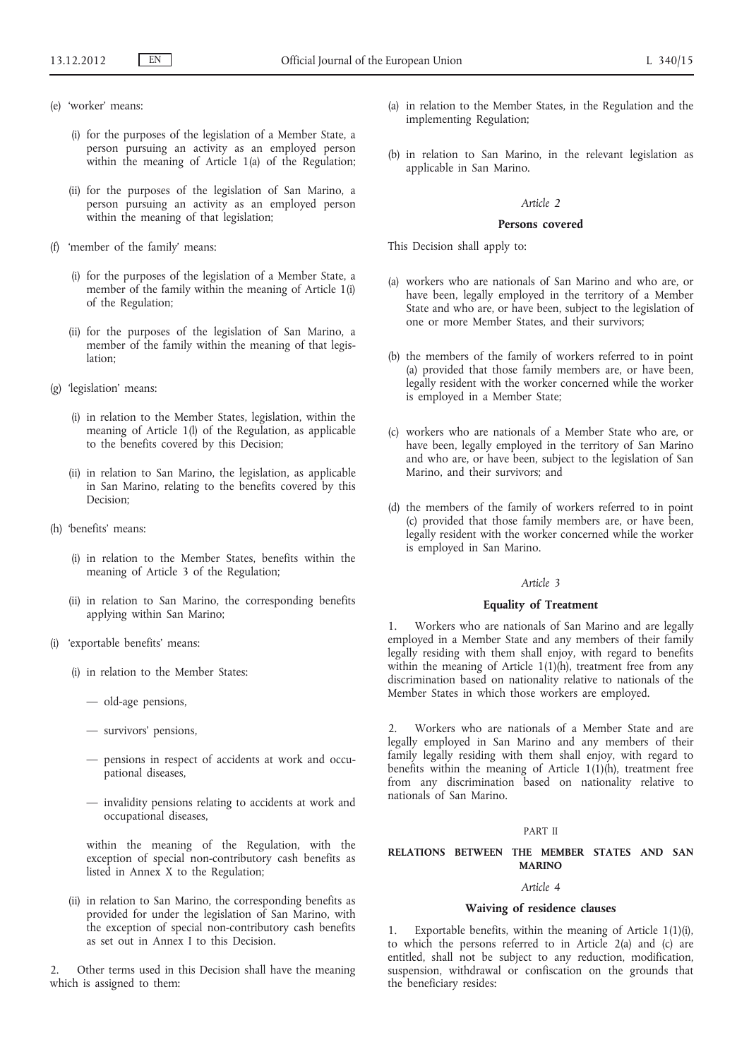- (e) 'worker' means:
	- (i) for the purposes of the legislation of a Member State, a person pursuing an activity as an employed person within the meaning of Article 1(a) of the Regulation;
	- (ii) for the purposes of the legislation of San Marino, a person pursuing an activity as an employed person within the meaning of that legislation;
- (f) 'member of the family' means:
	- (i) for the purposes of the legislation of a Member State, a member of the family within the meaning of Article 1(i) of the Regulation;
	- (ii) for the purposes of the legislation of San Marino, a member of the family within the meaning of that legislation;
- (g) 'legislation' means:
	- (i) in relation to the Member States, legislation, within the meaning of Article 1(l) of the Regulation, as applicable to the benefits covered by this Decision;
	- (ii) in relation to San Marino, the legislation, as applicable in San Marino, relating to the benefits covered by this Decision:
- (h) 'benefits' means:
	- (i) in relation to the Member States, benefits within the meaning of Article 3 of the Regulation;
	- (ii) in relation to San Marino, the corresponding benefits applying within San Marino;
- (i) 'exportable benefits' means:
	- (i) in relation to the Member States:
		- old-age pensions,
		- survivors' pensions,
		- pensions in respect of accidents at work and occupational diseases,
		- invalidity pensions relating to accidents at work and occupational diseases,

within the meaning of the Regulation, with the exception of special non-contributory cash benefits as listed in Annex X to the Regulation;

(ii) in relation to San Marino, the corresponding benefits as provided for under the legislation of San Marino, with the exception of special non-contributory cash benefits as set out in Annex I to this Decision.

Other terms used in this Decision shall have the meaning which is assigned to them:

- (a) in relation to the Member States, in the Regulation and the implementing Regulation;
- (b) in relation to San Marino, in the relevant legislation as applicable in San Marino.

## *Article 2*

#### **Persons covered**

This Decision shall apply to:

- (a) workers who are nationals of San Marino and who are, or have been, legally employed in the territory of a Member State and who are, or have been, subject to the legislation of one or more Member States, and their survivors;
- (b) the members of the family of workers referred to in point (a) provided that those family members are, or have been, legally resident with the worker concerned while the worker is employed in a Member State;
- (c) workers who are nationals of a Member State who are, or have been, legally employed in the territory of San Marino and who are, or have been, subject to the legislation of San Marino, and their survivors; and
- (d) the members of the family of workers referred to in point (c) provided that those family members are, or have been, legally resident with the worker concerned while the worker is employed in San Marino.

# *Article 3*

# **Equality of Treatment**

1. Workers who are nationals of San Marino and are legally employed in a Member State and any members of their family legally residing with them shall enjoy, with regard to benefits within the meaning of Article 1(1)(h), treatment free from any discrimination based on nationality relative to nationals of the Member States in which those workers are employed.

2. Workers who are nationals of a Member State and are legally employed in San Marino and any members of their family legally residing with them shall enjoy, with regard to benefits within the meaning of Article  $1(1)(h)$ , treatment free from any discrimination based on nationality relative to nationals of San Marino.

#### PART II

# **RELATIONS BETWEEN THE MEMBER STATES AND SAN MARINO**

# *Article 4*

#### **Waiving of residence clauses**

Exportable benefits, within the meaning of Article  $1(1)(i)$ , to which the persons referred to in Article 2(a) and (c) are entitled, shall not be subject to any reduction, modification, suspension, withdrawal or confiscation on the grounds that the beneficiary resides: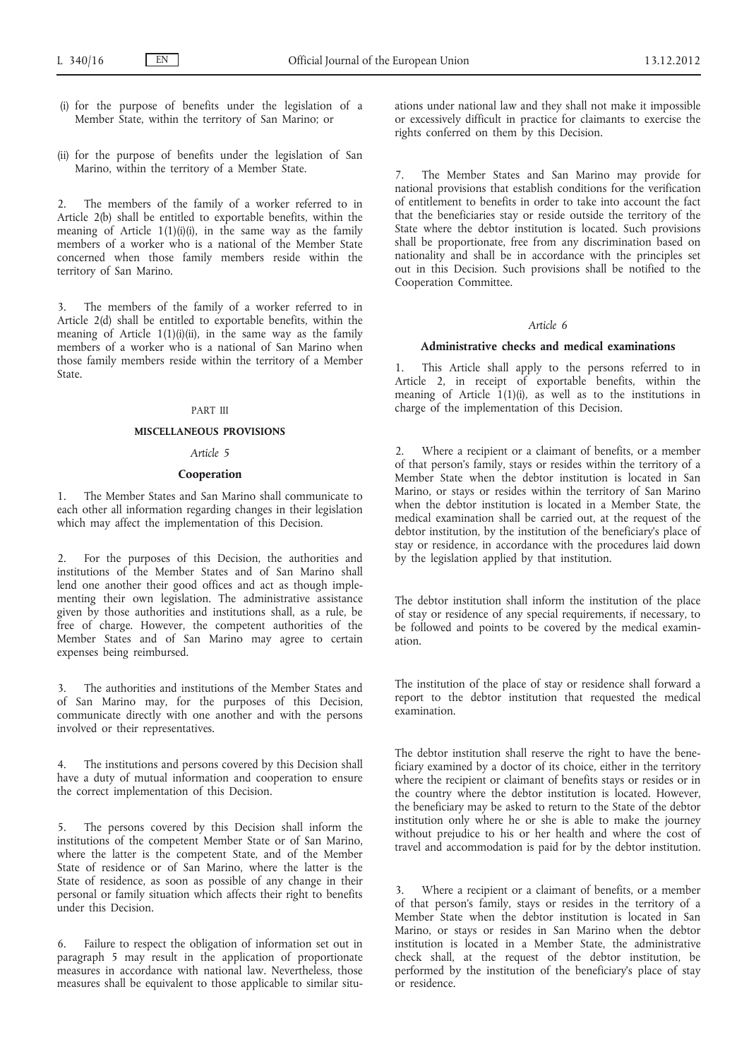- (i) for the purpose of benefits under the legislation of a Member State, within the territory of San Marino; or
- (ii) for the purpose of benefits under the legislation of San Marino, within the territory of a Member State.

2. The members of the family of a worker referred to in Article 2(b) shall be entitled to exportable benefits, within the meaning of Article  $1(1)(i)(i)$ , in the same way as the family members of a worker who is a national of the Member State concerned when those family members reside within the territory of San Marino.

3. The members of the family of a worker referred to in Article 2(d) shall be entitled to exportable benefits, within the meaning of Article  $1(1)(i)(ii)$ , in the same way as the family members of a worker who is a national of San Marino when those family members reside within the territory of a Member State.

#### PART III

#### **MISCELLANEOUS PROVISIONS**

#### *Article 5*

# **Cooperation**

1. The Member States and San Marino shall communicate to each other all information regarding changes in their legislation which may affect the implementation of this Decision.

2. For the purposes of this Decision, the authorities and institutions of the Member States and of San Marino shall lend one another their good offices and act as though implementing their own legislation. The administrative assistance given by those authorities and institutions shall, as a rule, be free of charge. However, the competent authorities of the Member States and of San Marino may agree to certain expenses being reimbursed.

3. The authorities and institutions of the Member States and of San Marino may, for the purposes of this Decision, communicate directly with one another and with the persons involved or their representatives.

4. The institutions and persons covered by this Decision shall have a duty of mutual information and cooperation to ensure the correct implementation of this Decision.

5. The persons covered by this Decision shall inform the institutions of the competent Member State or of San Marino, where the latter is the competent State, and of the Member State of residence or of San Marino, where the latter is the State of residence, as soon as possible of any change in their personal or family situation which affects their right to benefits under this Decision.

6. Failure to respect the obligation of information set out in paragraph 5 may result in the application of proportionate measures in accordance with national law. Nevertheless, those measures shall be equivalent to those applicable to similar situations under national law and they shall not make it impossible or excessively difficult in practice for claimants to exercise the rights conferred on them by this Decision.

The Member States and San Marino may provide for national provisions that establish conditions for the verification of entitlement to benefits in order to take into account the fact that the beneficiaries stay or reside outside the territory of the State where the debtor institution is located. Such provisions shall be proportionate, free from any discrimination based on nationality and shall be in accordance with the principles set out in this Decision. Such provisions shall be notified to the Cooperation Committee.

#### *Article 6*

# **Administrative checks and medical examinations**

1. This Article shall apply to the persons referred to in Article 2, in receipt of exportable benefits, within the meaning of Article  $1(1)(i)$ , as well as to the institutions in charge of the implementation of this Decision.

Where a recipient or a claimant of benefits, or a member of that person's family, stays or resides within the territory of a Member State when the debtor institution is located in San Marino, or stays or resides within the territory of San Marino when the debtor institution is located in a Member State, the medical examination shall be carried out, at the request of the debtor institution, by the institution of the beneficiary's place of stay or residence, in accordance with the procedures laid down by the legislation applied by that institution.

The debtor institution shall inform the institution of the place of stay or residence of any special requirements, if necessary, to be followed and points to be covered by the medical examination.

The institution of the place of stay or residence shall forward a report to the debtor institution that requested the medical examination.

The debtor institution shall reserve the right to have the beneficiary examined by a doctor of its choice, either in the territory where the recipient or claimant of benefits stays or resides or in the country where the debtor institution is located. However, the beneficiary may be asked to return to the State of the debtor institution only where he or she is able to make the journey without prejudice to his or her health and where the cost of travel and accommodation is paid for by the debtor institution.

3. Where a recipient or a claimant of benefits, or a member of that person's family, stays or resides in the territory of a Member State when the debtor institution is located in San Marino, or stays or resides in San Marino when the debtor institution is located in a Member State, the administrative check shall, at the request of the debtor institution, be performed by the institution of the beneficiary's place of stay or residence.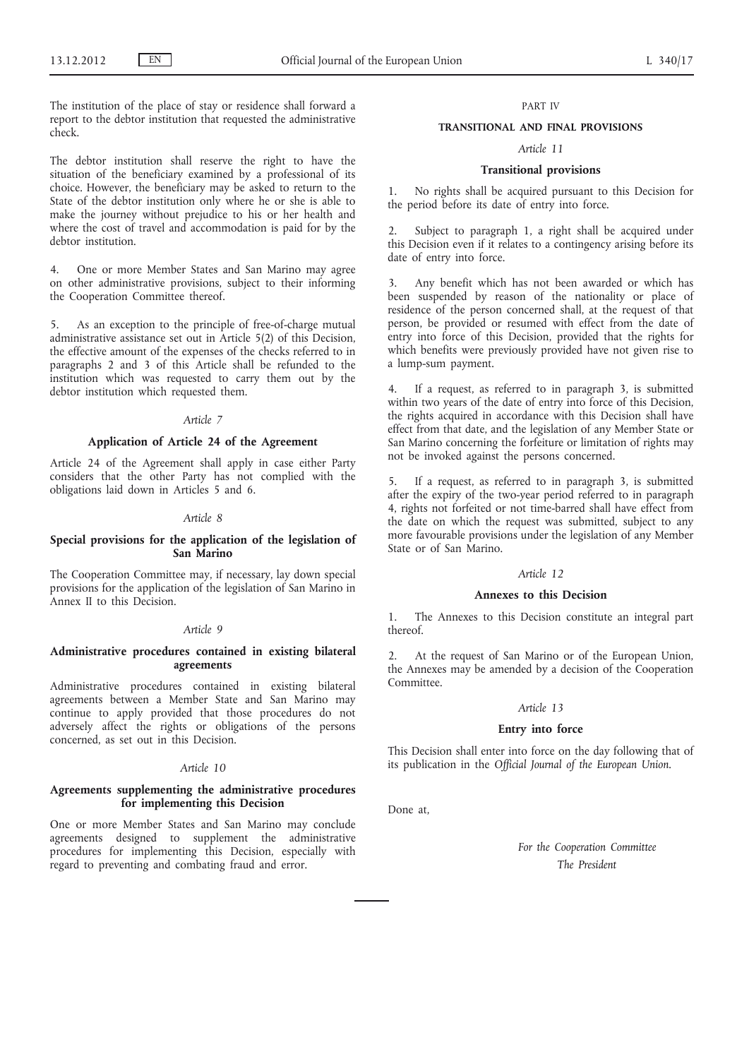The institution of the place of stay or residence shall forward a report to the debtor institution that requested the administrative check.

The debtor institution shall reserve the right to have the situation of the beneficiary examined by a professional of its choice. However, the beneficiary may be asked to return to the State of the debtor institution only where he or she is able to make the journey without prejudice to his or her health and where the cost of travel and accommodation is paid for by the debtor institution.

4. One or more Member States and San Marino may agree on other administrative provisions, subject to their informing the Cooperation Committee thereof.

5. As an exception to the principle of free-of-charge mutual administrative assistance set out in Article 5(2) of this Decision, the effective amount of the expenses of the checks referred to in paragraphs 2 and 3 of this Article shall be refunded to the institution which was requested to carry them out by the debtor institution which requested them.

#### *Article 7*

# **Application of Article 24 of the Agreement**

Article 24 of the Agreement shall apply in case either Party considers that the other Party has not complied with the obligations laid down in Articles 5 and 6.

#### *Article 8*

#### **Special provisions for the application of the legislation of San Marino**

The Cooperation Committee may, if necessary, lay down special provisions for the application of the legislation of San Marino in Annex II to this Decision.

#### *Article 9*

#### **Administrative procedures contained in existing bilateral agreements**

Administrative procedures contained in existing bilateral agreements between a Member State and San Marino may continue to apply provided that those procedures do not adversely affect the rights or obligations of the persons concerned, as set out in this Decision.

# *Article 10*

# **Agreements supplementing the administrative procedures for implementing this Decision**

One or more Member States and San Marino may conclude agreements designed to supplement the administrative procedures for implementing this Decision, especially with regard to preventing and combating fraud and error.

# PART IV

#### **TRANSITIONAL AND FINAL PROVISIONS**

# *Article 11*

#### **Transitional provisions**

1. No rights shall be acquired pursuant to this Decision for the period before its date of entry into force.

Subject to paragraph 1, a right shall be acquired under this Decision even if it relates to a contingency arising before its date of entry into force.

3. Any benefit which has not been awarded or which has been suspended by reason of the nationality or place of residence of the person concerned shall, at the request of that person, be provided or resumed with effect from the date of entry into force of this Decision, provided that the rights for which benefits were previously provided have not given rise to a lump-sum payment.

4. If a request, as referred to in paragraph 3, is submitted within two years of the date of entry into force of this Decision, the rights acquired in accordance with this Decision shall have effect from that date, and the legislation of any Member State or San Marino concerning the forfeiture or limitation of rights may not be invoked against the persons concerned.

5. If a request, as referred to in paragraph 3, is submitted after the expiry of the two-year period referred to in paragraph 4, rights not forfeited or not time-barred shall have effect from the date on which the request was submitted, subject to any more favourable provisions under the legislation of any Member State or of San Marino.

#### *Article 12*

# **Annexes to this Decision**

1. The Annexes to this Decision constitute an integral part thereof.

2. At the request of San Marino or of the European Union, the Annexes may be amended by a decision of the Cooperation **Committee** 

#### *Article 13*

## **Entry into force**

This Decision shall enter into force on the day following that of its publication in the *Official Journal of the European Union*.

Done at,

*For the Cooperation Committee The President*